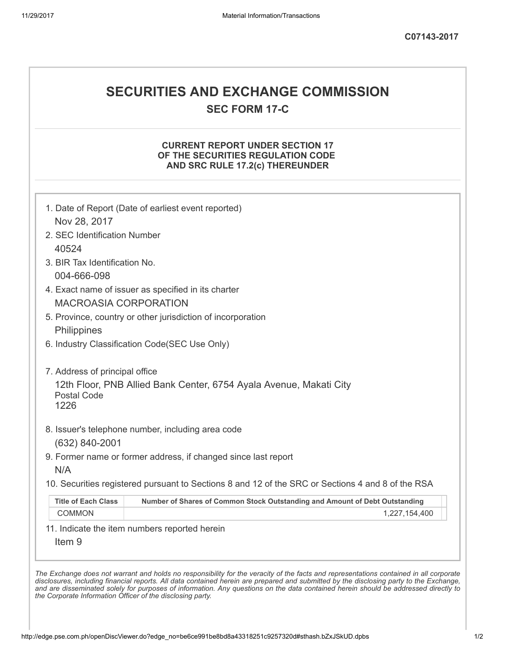# SECURITIES AND EXCHANGE COMMISSION

SEC FORM 17-C

## CURRENT REPORT UNDER SECTION 17 OF THE SECURITIES REGULATION CODE AND SRC RULE 17.2(c) THEREUNDER

| Nov 28, 2017                   | 1. Date of Report (Date of earliest event reported)                                               |
|--------------------------------|---------------------------------------------------------------------------------------------------|
| 2. SEC Identification Number   |                                                                                                   |
| 40524                          |                                                                                                   |
| 3. BIR Tax Identification No.  |                                                                                                   |
| 004-666-098                    |                                                                                                   |
|                                | 4. Exact name of issuer as specified in its charter                                               |
| <b>MACROASIA CORPORATION</b>   |                                                                                                   |
|                                | 5. Province, country or other jurisdiction of incorporation                                       |
| Philippines                    |                                                                                                   |
|                                | 6. Industry Classification Code(SEC Use Only)                                                     |
| 7. Address of principal office |                                                                                                   |
|                                | 12th Floor, PNB Allied Bank Center, 6754 Ayala Avenue, Makati City                                |
| <b>Postal Code</b><br>1226     |                                                                                                   |
|                                |                                                                                                   |
|                                | 8. Issuer's telephone number, including area code                                                 |
| (632) 840-2001                 |                                                                                                   |
|                                | 9. Former name or former address, if changed since last report                                    |
| N/A                            |                                                                                                   |
|                                | 10. Securities registered pursuant to Sections 8 and 12 of the SRC or Sections 4 and 8 of the RSA |
| <b>Title of Each Class</b>     | Number of Shares of Common Stock Outstanding and Amount of Debt Outstanding                       |
| <b>COMMON</b>                  | 1,227,154,400                                                                                     |
|                                | 11. Indicate the item numbers reported herein                                                     |
|                                |                                                                                                   |
| Item <sub>9</sub>              |                                                                                                   |

the Corporate Information Officer of the disclosing party.